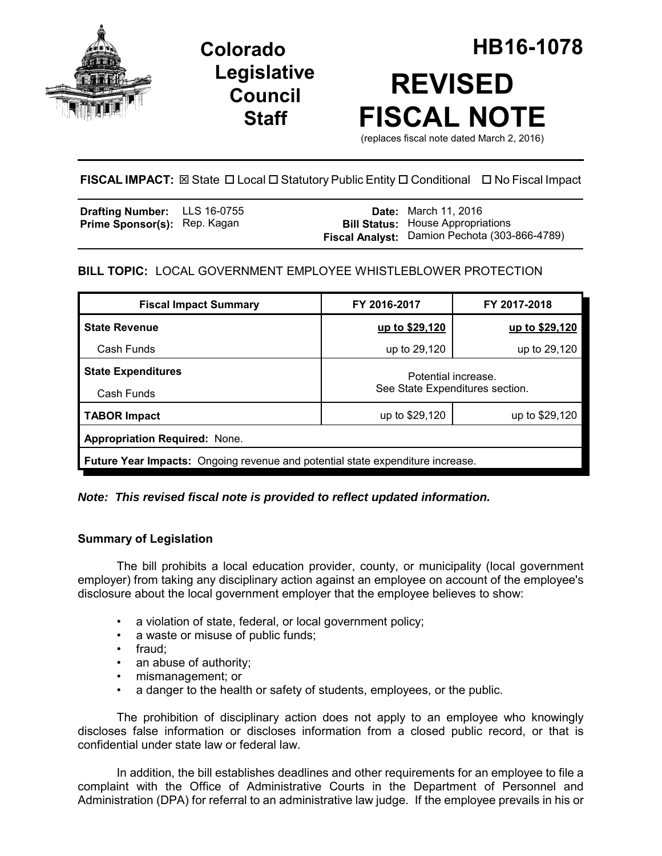

**Legislative Council Staff**



# **FISCAL IMPACT:** ⊠ State □ Local □ Statutory Public Entity □ Conditional □ No Fiscal Impact

| <b>Drafting Number:</b> LLS 16-0755 |  | <b>Date:</b> March 11, 2016                   |
|-------------------------------------|--|-----------------------------------------------|
| <b>Prime Sponsor(s): Rep. Kagan</b> |  | <b>Bill Status:</b> House Appropriations      |
|                                     |  | Fiscal Analyst: Damion Pechota (303-866-4789) |

# **BILL TOPIC:** LOCAL GOVERNMENT EMPLOYEE WHISTLEBLOWER PROTECTION

| <b>Fiscal Impact Summary</b>                                                   | FY 2016-2017                                           | FY 2017-2018   |  |  |  |
|--------------------------------------------------------------------------------|--------------------------------------------------------|----------------|--|--|--|
| <b>State Revenue</b>                                                           | up to \$29,120                                         | up to \$29,120 |  |  |  |
| Cash Funds                                                                     | up to 29,120                                           | up to 29,120   |  |  |  |
| <b>State Expenditures</b>                                                      | Potential increase.<br>See State Expenditures section. |                |  |  |  |
| Cash Funds                                                                     |                                                        |                |  |  |  |
| <b>TABOR Impact</b>                                                            | up to \$29,120                                         | up to \$29,120 |  |  |  |
| <b>Appropriation Required: None.</b>                                           |                                                        |                |  |  |  |
| Future Year Impacts: Ongoing revenue and potential state expenditure increase. |                                                        |                |  |  |  |

# *Note: This revised fiscal note is provided to reflect updated information.*

# **Summary of Legislation**

The bill prohibits a local education provider, county, or municipality (local government employer) from taking any disciplinary action against an employee on account of the employee's disclosure about the local government employer that the employee believes to show:

- a violation of state, federal, or local government policy;
- a waste or misuse of public funds;
- fraud;
- an abuse of authority;
- mismanagement; or
- a danger to the health or safety of students, employees, or the public.

The prohibition of disciplinary action does not apply to an employee who knowingly discloses false information or discloses information from a closed public record, or that is confidential under state law or federal law.

In addition, the bill establishes deadlines and other requirements for an employee to file a complaint with the Office of Administrative Courts in the Department of Personnel and Administration (DPA) for referral to an administrative law judge. If the employee prevails in his or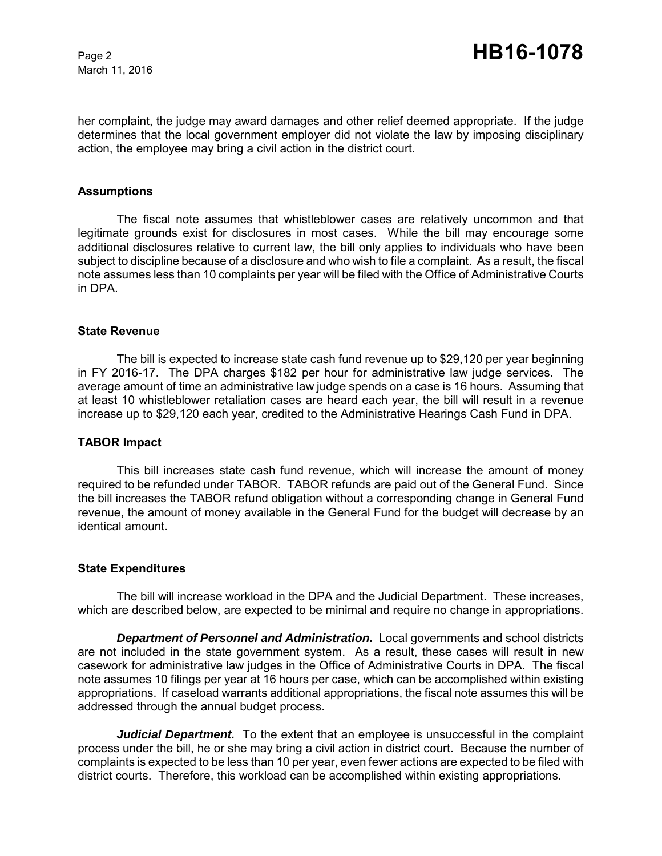March 11, 2016

her complaint, the judge may award damages and other relief deemed appropriate. If the judge determines that the local government employer did not violate the law by imposing disciplinary action, the employee may bring a civil action in the district court.

#### **Assumptions**

The fiscal note assumes that whistleblower cases are relatively uncommon and that legitimate grounds exist for disclosures in most cases. While the bill may encourage some additional disclosures relative to current law, the bill only applies to individuals who have been subject to discipline because of a disclosure and who wish to file a complaint. As a result, the fiscal note assumes less than 10 complaints per year will be filed with the Office of Administrative Courts in DPA.

#### **State Revenue**

The bill is expected to increase state cash fund revenue up to \$29,120 per year beginning in FY 2016-17. The DPA charges \$182 per hour for administrative law judge services. The average amount of time an administrative law judge spends on a case is 16 hours. Assuming that at least 10 whistleblower retaliation cases are heard each year, the bill will result in a revenue increase up to \$29,120 each year, credited to the Administrative Hearings Cash Fund in DPA.

## **TABOR Impact**

This bill increases state cash fund revenue, which will increase the amount of money required to be refunded under TABOR. TABOR refunds are paid out of the General Fund.Since the bill increases the TABOR refund obligation without a corresponding change in General Fund revenue, the amount of money available in the General Fund for the budget will decrease by an identical amount.

## **State Expenditures**

The bill will increase workload in the DPA and the Judicial Department. These increases, which are described below, are expected to be minimal and require no change in appropriations.

*Department of Personnel and Administration.* Local governments and school districts are not included in the state government system. As a result, these cases will result in new casework for administrative law judges in the Office of Administrative Courts in DPA. The fiscal note assumes 10 filings per year at 16 hours per case, which can be accomplished within existing appropriations. If caseload warrants additional appropriations, the fiscal note assumes this will be addressed through the annual budget process.

*Judicial Department.* To the extent that an employee is unsuccessful in the complaint process under the bill, he or she may bring a civil action in district court. Because the number of complaints is expected to be less than 10 per year, even fewer actions are expected to be filed with district courts. Therefore, this workload can be accomplished within existing appropriations.